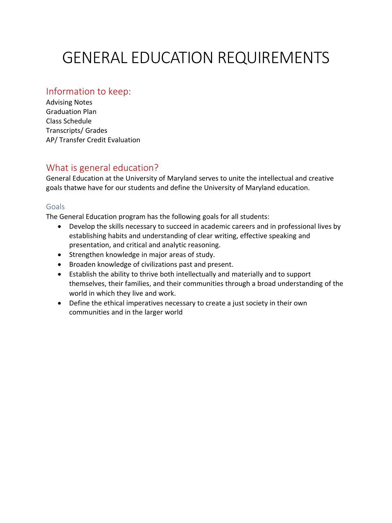# GENERAL EDUCATION REQUIREMENTS

# Information to keep:

Advising Notes Graduation Plan Class Schedule Transcripts/ Grades AP/ Transfer Credit Evaluation

# What is general education?

General Education at the University of Maryland serves to unite the intellectual and creative goals thatwe have for our students and define the University of Maryland education.

# Goals

The General Education program has the following goals for all students:

- Develop the skills necessary to succeed in academic careers and in professional lives by establishing habits and understanding of clear writing, effective speaking and presentation, and critical and analytic reasoning.
- Strengthen knowledge in major areas of study.
- Broaden knowledge of civilizations past and present.
- Establish the ability to thrive both intellectually and materially and to support themselves, their families, and their communities through a broad understanding of the world in which they live and work.
- Define the ethical imperatives necessary to create a just society in their own communities and in the larger world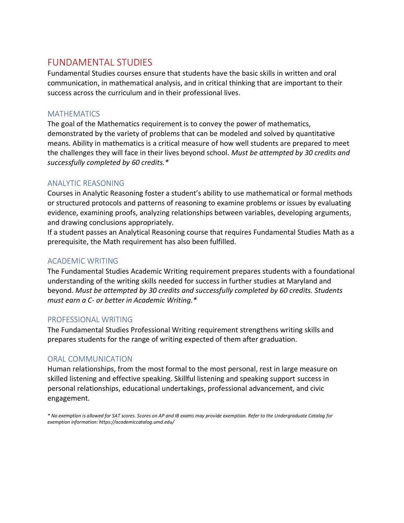# FUNDAMENTAL STUDIES

Fundamental Studies courses ensure that students have the basic skills in written and oral communication, in mathematical analysis, and in critical thinking that are important to their success across the curriculum and in their professional lives.

### **MATHEMATICS**

The goal of the Mathematics requirement is to convey the power of mathematics, demonstrated by the variety of problems that can be modeled and solved by quantitative means. Ability in mathematics is a critical measure of how well students are prepared to meet the challenges they will face in their lives beyond school. *Must be attempted by 30 credits and successfully completed by 60 credits.\** 

## ANALYTIC REASONING

Courses in Analytic Reasoning foster a student's ability to use mathematical or formal methods or structured protocols and patterns of reasoning to examine problems or issues by evaluating evidence, examining proofs, analyzing relationships between variables, developing arguments, and drawing conclusions appropriately.

If a student passes an Analytical Reasoning course that requires Fundamental Studies Math as a prerequisite, the Math requirement has also been fulfilled.

## ACADEMIC WRITING

The Fundamental Studies Academic Writing requirement prepares students with a foundational understanding of the writing skills needed for success in further studies at Maryland and beyond. *Must be attempted by 30 credits and successfully completed by 60 credits. Students must earn a C- or better in Academic Writing.\** 

### PROFESSIONAL WRITING

The Fundamental Studies Professional Writing requirement strengthens writing skills and prepares students for the range of writing expected of them after graduation.

## ORAL COMMUNICATION

Human relationships, from the most formal to the most personal, rest in large measure on skilled listening and effective speaking. Skillful listening and speaking support success in personal relationships, educational undertakings, professional advancement, and civic engagement.

*\* No exemption is allowed for SAT scores. Scores on AP and IB exams may provide exemption. Refer to the Undergraduate Catalog for exemption information: https://academiccatalog.umd.edu/*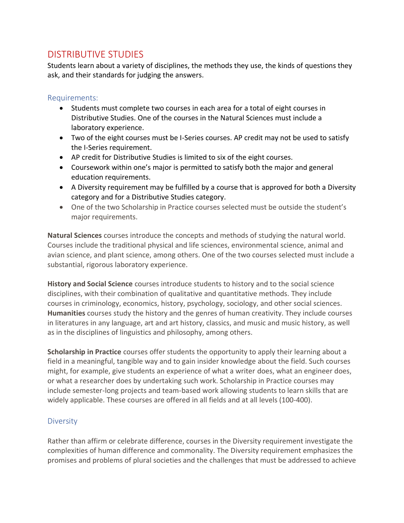# DISTRIBUTIVE STUDIES

Students learn about a variety of disciplines, the methods they use, the kinds of questions they ask, and their standards for judging the answers.

## Requirements:

- Students must complete two courses in each area for a total of eight courses in Distributive Studies. One of the courses in the Natural Sciences must include a laboratory experience.
- Two of the eight courses must be I-Series courses. AP credit may not be used to satisfy the I-Series requirement.
- AP credit for Distributive Studies is limited to six of the eight courses.
- Coursework within one's major is permitted to satisfy both the major and general education requirements.
- A Diversity requirement may be fulfilled by a course that is approved for both a Diversity category and for a Distributive Studies category.
- One of the two Scholarship in Practice courses selected must be outside the student's major requirements.

**Natural Sciences** courses introduce the concepts and methods of studying the natural world. Courses include the traditional physical and life sciences, environmental science, animal and avian science, and plant science, among others. One of the two courses selected must include a substantial, rigorous laboratory experience.

**History and Social Science** courses introduce students to history and to the social science disciplines, with their combination of qualitative and quantitative methods. They include courses in criminology, economics, history, psychology, sociology, and other social sciences. **Humanities** courses study the history and the genres of human creativity. They include courses in literatures in any language, art and art history, classics, and music and music history, as well as in the disciplines of linguistics and philosophy, among others.

**Scholarship in Practice** courses offer students the opportunity to apply their learning about a field in a meaningful, tangible way and to gain insider knowledge about the field. Such courses might, for example, give students an experience of what a writer does, what an engineer does, or what a researcher does by undertaking such work. Scholarship in Practice courses may include semester-long projects and team-based work allowing students to learn skills that are widely applicable. These courses are offered in all fields and at all levels (100-400).

## **Diversity**

Rather than affirm or celebrate difference, courses in the Diversity requirement investigate the complexities of human difference and commonality. The Diversity requirement emphasizes the promises and problems of plural societies and the challenges that must be addressed to achieve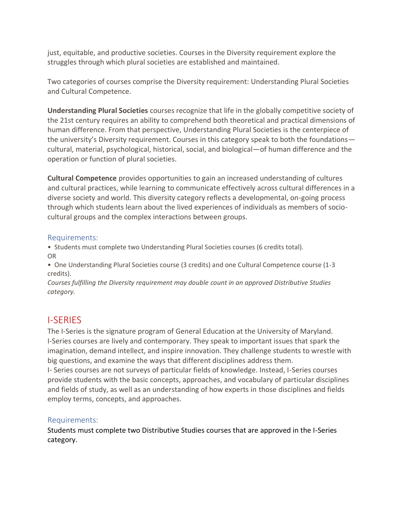just, equitable, and productive societies. Courses in the Diversity requirement explore the struggles through which plural societies are established and maintained.

Two categories of courses comprise the Diversity requirement: Understanding Plural Societies and Cultural Competence.

**Understanding Plural Societies** courses recognize that life in the globally competitive society of the 21st century requires an ability to comprehend both theoretical and practical dimensions of human difference. From that perspective, Understanding Plural Societies is the centerpiece of the university's Diversity requirement. Courses in this category speak to both the foundations cultural, material, psychological, historical, social, and biological—of human difference and the operation or function of plural societies.

**Cultural Competence** provides opportunities to gain an increased understanding of cultures and cultural practices, while learning to communicate effectively across cultural differences in a diverse society and world. This diversity category reflects a developmental, on-going process through which students learn about the lived experiences of individuals as members of sociocultural groups and the complex interactions between groups.

### Requirements:

• Students must complete two Understanding Plural Societies courses (6 credits total). OR

• One Understanding Plural Societies course (3 credits) and one Cultural Competence course (1-3 credits).

*Courses fulfilling the Diversity requirement may double count in an approved Distributive Studies category.*

# I-SERIES

The I-Series is the signature program of General Education at the University of Maryland. I-Series courses are lively and contemporary. They speak to important issues that spark the imagination, demand intellect, and inspire innovation. They challenge students to wrestle with big questions, and examine the ways that different disciplines address them.

I- Series courses are not surveys of particular fields of knowledge. Instead, I-Series courses provide students with the basic concepts, approaches, and vocabulary of particular disciplines and fields of study, as well as an understanding of how experts in those disciplines and fields employ terms, concepts, and approaches.

### Requirements:

Students must complete two Distributive Studies courses that are approved in the I-Series category.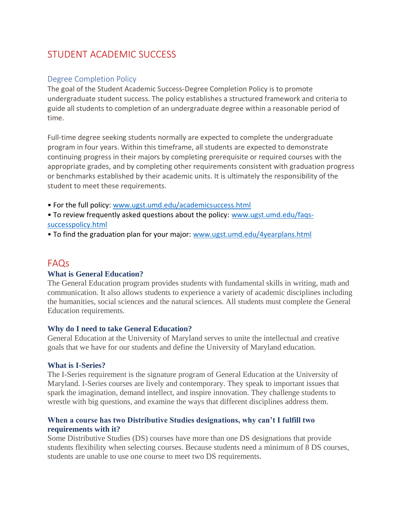# STUDENT ACADEMIC SUCCESS

#### Degree Completion Policy

The goal of the Student Academic Success-Degree Completion Policy is to promote undergraduate student success. The policy establishes a structured framework and criteria to guide all students to completion of an undergraduate degree within a reasonable period of time.

Full-time degree seeking students normally are expected to complete the undergraduate program in four years. Within this timeframe, all students are expected to demonstrate continuing progress in their majors by completing prerequisite or required courses with the appropriate grades, and by completing other requirements consistent with graduation progress or benchmarks established by their academic units. It is ultimately the responsibility of the student to meet these requirements.

• For the full policy: [www.ugst.umd.edu/academicsuccess.html](http://www.ugst.umd.edu/academicsuccess.html)

- To review frequently asked questions about the policy: [www.ugst.umd.edu/faqs](http://www.ugst.umd.edu/faqs-successpolicy.html)[successpolicy.html](http://www.ugst.umd.edu/faqs-successpolicy.html)
- To find the graduation plan for your major: [www.ugst.umd.edu/4yearplans.html](http://www.ugst.umd.edu/4yearplans.html)

# FAQs

#### **What is General Education?**

The General Education program provides students with fundamental skills in writing, math and communication. It also allows students to experience a variety of academic disciplines including the humanities, social sciences and the natural sciences. All students must complete the General Education requirements.

#### **Why do I need to take General Education?**

General Education at the University of Maryland serves to unite the intellectual and creative goals that we have for our students and define the University of Maryland education.

#### **What is I-Series?**

The I-Series requirement is the signature program of General Education at the University of Maryland. I-Series courses are lively and contemporary. They speak to important issues that spark the imagination, demand intellect, and inspire innovation. They challenge students to wrestle with big questions, and examine the ways that different disciplines address them.

#### **When a course has two Distributive Studies designations, why can't I fulfill two requirements with it?**

Some Distributive Studies (DS) courses have more than one DS designations that provide students flexibility when selecting courses. Because students need a minimum of 8 DS courses, students are unable to use one course to meet two DS requirements.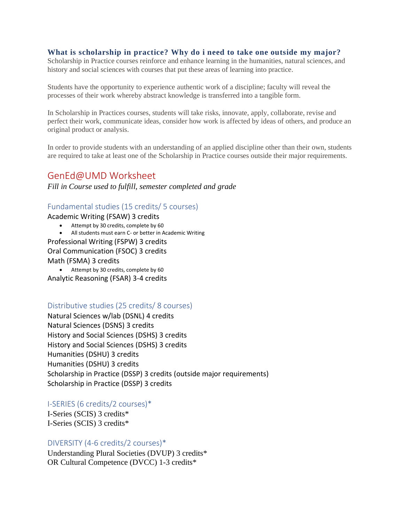#### **What is scholarship in practice? Why do i need to take one outside my major?**

Scholarship in Practice courses reinforce and enhance learning in the humanities, natural sciences, and history and social sciences with courses that put these areas of learning into practice.

Students have the opportunity to experience authentic work of a discipline; faculty will reveal the processes of their work whereby abstract knowledge is transferred into a tangible form.

In Scholarship in Practices courses, students will take risks, innovate, apply, collaborate, revise and perfect their work, communicate ideas, consider how work is affected by ideas of others, and produce an original product or analysis.

In order to provide students with an understanding of an applied discipline other than their own, students are required to take at least one of the Scholarship in Practice courses outside their major requirements.

## GenEd@UMD Worksheet

*Fill in Course used to fulfill, semester completed and grade*

#### Fundamental studies (15 credits/ 5 courses)

Academic Writing (FSAW) 3 credits

- Attempt by 30 credits, complete by 60
- All students must earn C- or better in Academic Writing

Professional Writing (FSPW) 3 credits

Oral Communication (FSOC) 3 credits

Math (FSMA) 3 credits

• Attempt by 30 credits, complete by 60 Analytic Reasoning (FSAR) 3-4 credits

#### Distributive studies (25 credits/ 8 courses)

Natural Sciences w/lab (DSNL) 4 credits Natural Sciences (DSNS) 3 credits History and Social Sciences (DSHS) 3 credits History and Social Sciences (DSHS) 3 credits Humanities (DSHU) 3 credits Humanities (DSHU) 3 credits Scholarship in Practice (DSSP) 3 credits (outside major requirements) Scholarship in Practice (DSSP) 3 credits

#### I-SERIES (6 credits/2 courses)\*

I-Series (SCIS) 3 credits\* I-Series (SCIS) 3 credits\*

#### DIVERSITY (4-6 credits/2 courses)\*

Understanding Plural Societies (DVUP) 3 credits\* OR Cultural Competence (DVCC) 1-3 credits\*